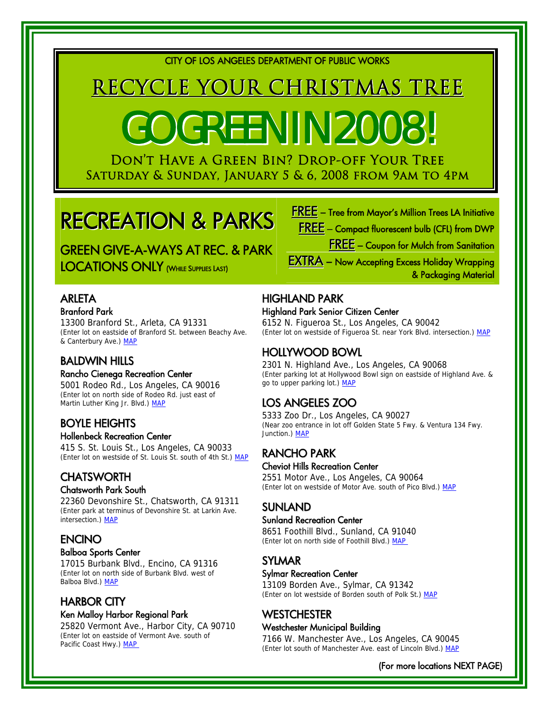CITY OF LOS ANGELES DEPARTMENT OF PUBLIC WORKS

# RECYCLE YOUR CHRISTMAS TREE

# GO GREEN IN 2008.

Don't Have a Green Bin? Drop-off Your Tree Saturday & Sunday, January 5 & 6, 2008 from 9am to 4pm

## RECREATION & PARKS

GREEN GIVE-A-WAYS AT REC. & PARK LOCATIONS ONLY (WHILE SUPPLIES LAST)

### **ARLETA** Branford Park

13300 Branford St., Arleta, CA 91331 (Enter lot on eastside of Branford St. between Beachy Ave. & Canterbury Ave.) [MAP](http://maps.google.com/maps?f=q&hl=en&geocode=&time=&date=&ttype=&q=13300+Branford+St.,+Arleta,+CA+91331&sll=34.04313,-118.215616&sspn=0.007574,0.014462&ie=UTF8&ll=34.234796,-118.423069&spn=0.007557,0.014462&z=16&iwloc=addr&om=1)

### BALDWIN HILLS

### Rancho Cienega Recreation Center

5001 Rodeo Rd., Los Angeles, CA 90016 (Enter lot on north side of Rodeo Rd. just east of Martin Luther King Jr. Blvd.) MAP

### BOYLE HEIGHTS

### Hollenbeck Recreation Center

415 S. St. Louis St., Los Angeles, CA 90033 (Enter lot on westside of St. Louis St. south of 4th St.) [MAP](http://maps.google.com/maps?f=q&hl=en&geocode=&time=&date=&ttype=&q=415+S.+St.+Louis+St.,+Los+Angeles,+CA+90033&sll=34.04313,-118.215616&sspn=0.007574,0.014462&ie=UTF8&ll=34.04313,-118.215616&spn=0.007574,0.014462&z=16&om=1)

### **CHATSWORTH**

### Chatsworth Park South

22360 Devonshire St., Chatsworth, CA 91311 (Enter park at terminus of Devonshire St. at Larkin Ave. intersection.) MAP

### **ENCINO**

### Balboa Sports Center

17015 Burbank Blvd., Encino, CA 91316 (Enter lot on north side of Burbank Blvd. west of Balboa Blvd.) [MAP](http://maps.google.com/maps?f=q&hl=en&geocode=&time=&date=&ttype=&q=17015+Burbank+Blvd.,+Encino,+CA+91316&sll=34.022858,-118.35243&sspn=0.007096,0.014462&ie=UTF8&ll=34.173571,-118.503664&spn=0.007083,0.014462&z=16&iwloc=addr&om=1)

### HARBOR CITY

### Ken Malloy Harbor Regional Park

25820 Vermont Ave., Harbor City, CA 90710 (Enter lot on eastside of Vermont Ave. south of Pacific Coast Hwy.) MAP



### HIGHLAND PARK

### Highland Park Senior Citizen Center

6152 N. Figueroa St., Los Angeles, CA 90042 (Enter lot on westside of Figueroa St. near York Blvd. intersection.) [MAP](http://maps.google.com/maps?f=q&hl=en&geocode=&time=&date=&ttype=&q=6152+N.+Figueroa+St.,+Los+Angeles,+CA+90042&sll=34.128929,-118.406138&sspn=0.007087,0.014462&ie=UTF8&ll=34.115482,-118.185639&spn=0.007088,0.014462&z=16&iwloc=addr&om=1)

### HOLLYWOOD BOWL

2301 N. Highland Ave., Los Angeles, CA 90068 (Enter parking lot at Hollywood Bowl sign on eastside of Highland Ave. & go to upper parking lot.) [MAP](http://maps.google.com/maps?f=q&hl=en&geocode=&time=&date=&ttype=&q=2301+N.+Highland+Ave.,+Los+Angeles,+CA+90068&sll=34.115482,-118.185639&sspn=0.007088,0.014462&ie=UTF8&ll=34.112089,-118.336337&spn=0.007089,0.014462&z=16&iwloc=addr&om=1)

### LOS ANGELES ZOO

5333 Zoo Dr., Los Angeles, CA 90027 (Near zoo entrance in lot off Golden State 5 Fwy. & Ventura 134 Fwy. Junction.) [MAP](http://maps.google.com/maps?f=q&hl=en&geocode=&time=&date=&ttype=&q=5333+Zoo+Dr.,+Los+Angeles,+CA+90027&sll=34.112089,-118.336337&sspn=0.007089,0.014462&ie=UTF8&ll=34.151218,-118.284645&spn=0.007085,0.014462&z=16&iwloc=addr&om=1)

### RANCHO PARK

#### Cheviot Hills Recreation Center

2551 Motor Ave., Los Angeles, CA 90064 (Enter lot on westside of Motor Ave. south of Pico Blvd.) [MAP](http://maps.google.com/maps?f=q&hl=en&geocode=&time=&date=&ttype=&q=2551+Motor+Ave.,+Los+Angeles,+CA+90064&sll=34.151218,-118.284645&sspn=0.007085,0.014462&ie=UTF8&ll=34.048286,-118.408155&spn=0.007094,0.014462&z=16&iwloc=addr&om=1)

### **SUNLAND**

### Sunland Recreation Center

8651 Foothill Blvd., Sunland, CA 91040 (Enter lot on north side of Foothill Blvd.) MAP

### SYLMAR

### Sylmar Recreation Center

13109 Borden Ave., Sylmar, CA 91342 (Enter on lot westside of Borden south of Polk St.) [MAP](http://maps.google.com/maps?f=q&hl=en&geocode=&time=&date=&ttype=&q=13109+Borden+Ave.,+Sylmar,+CA+91342&sll=34.261083,-118.321295&sspn=0.007076,0.014462&ie=UTF8&ll=34.309803,-118.444462&spn=0.007072,0.014462&z=16&iwloc=addr&om=1)

### **WESTCHESTER**

### Westchester Municipal Building

7166 W. Manchester Ave., Los Angeles, CA 90045 (Enter lot south of Manchester Ave. east of Lincoln Blvd.) [MAP](http://maps.google.com/maps?f=q&hl=en&geocode=&time=&date=&ttype=&q=7166+W.+Manchester+Ave.,+Los+Angeles,+CA+90045&sll=34.309803,-118.444462&sspn=0.007072,0.014462&ie=UTF8&ll=33.961035,-118.418176&spn=0.007101,0.014462&z=16&iwloc=addr&om=1)

(For more locations NEXT PAGE)